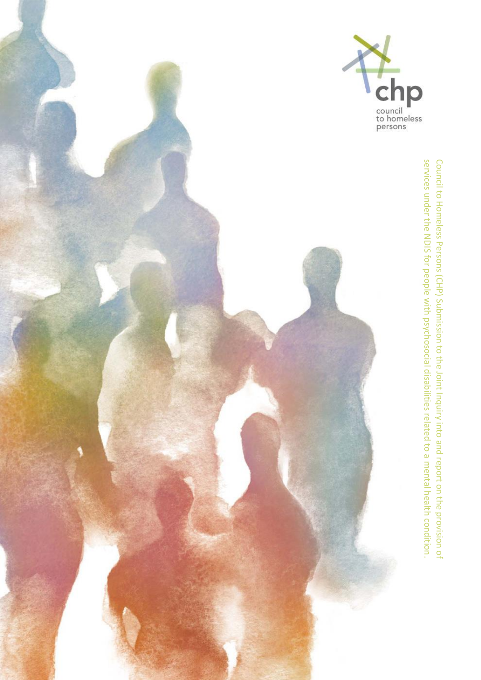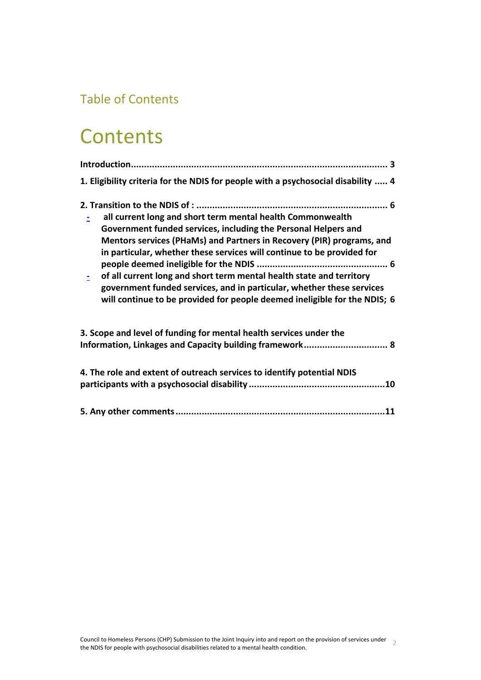# Table of Contents

# **Contents**

| 1. Eligibility criteria for the NDIS for people with a psychosocial disability  4                                                                                                                                                                                                                                                                                                                                                                                                                             |
|---------------------------------------------------------------------------------------------------------------------------------------------------------------------------------------------------------------------------------------------------------------------------------------------------------------------------------------------------------------------------------------------------------------------------------------------------------------------------------------------------------------|
| all current long and short term mental health Commonwealth<br>Government funded services, including the Personal Helpers and<br>Mentors services (PHaMs) and Partners in Recovery (PIR) programs, and<br>in particular, whether these services will continue to be provided for<br>of all current long and short term mental health state and territory<br>government funded services, and in particular, whether these services<br>will continue to be provided for people deemed ineligible for the NDIS; 6 |
| 3. Scope and level of funding for mental health services under the<br>Information, Linkages and Capacity building framework 8                                                                                                                                                                                                                                                                                                                                                                                 |
| 4. The role and extent of outreach services to identify potential NDIS                                                                                                                                                                                                                                                                                                                                                                                                                                        |
|                                                                                                                                                                                                                                                                                                                                                                                                                                                                                                               |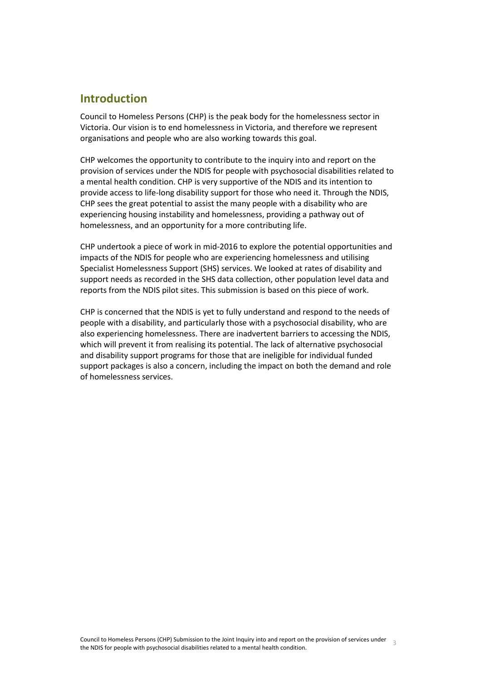## <span id="page-2-0"></span>**Introduction**

Council to Homeless Persons (CHP) is the peak body for the homelessness sector in Victoria. Our vision is to end homelessness in Victoria, and therefore we represent organisations and people who are also working towards this goal.

CHP welcomes the opportunity to contribute to the inquiry into and report on the provision of services under the NDIS for people with psychosocial disabilities related to a mental health condition. CHP is very supportive of the NDIS and its intention to provide access to life-long disability support for those who need it. Through the NDIS, CHP sees the great potential to assist the many people with a disability who are experiencing housing instability and homelessness, providing a pathway out of homelessness, and an opportunity for a more contributing life.

CHP undertook a piece of work in mid-2016 to explore the potential opportunities and impacts of the NDIS for people who are experiencing homelessness and utilising Specialist Homelessness Support (SHS) services. We looked at rates of disability and support needs as recorded in the SHS data collection, other population level data and reports from the NDIS pilot sites. This submission is based on this piece of work.

CHP is concerned that the NDIS is yet to fully understand and respond to the needs of people with a disability, and particularly those with a psychosocial disability, who are also experiencing homelessness. There are inadvertent barriers to accessing the NDIS, which will prevent it from realising its potential. The lack of alternative psychosocial and disability support programs for those that are ineligible for individual funded support packages is also a concern, including the impact on both the demand and role of homelessness services.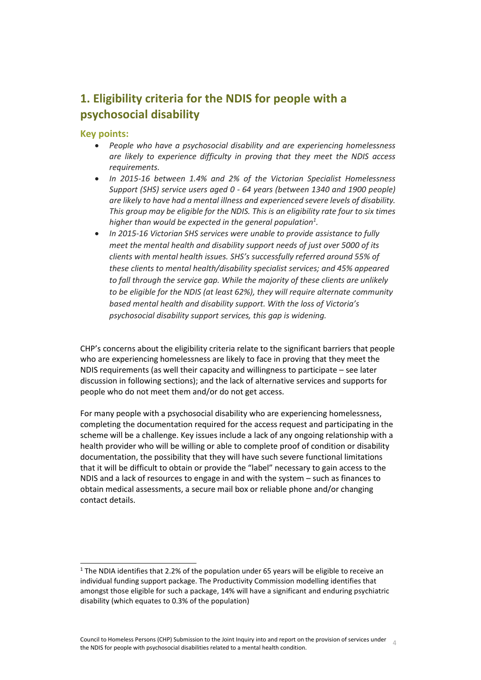## <span id="page-3-0"></span>**1. Eligibility criteria for the NDIS for people with a psychosocial disability**

#### **Key points:**

l

- *People who have a psychosocial disability and are experiencing homelessness are likely to experience difficulty in proving that they meet the NDIS access requirements.*
- *In 2015-16 between 1.4% and 2% of the Victorian Specialist Homelessness Support (SHS) service users aged 0 - 64 years (between 1340 and 1900 people) are likely to have had a mental illness and experienced severe levels of disability. This group may be eligible for the NDIS. This is an eligibility rate four to six times higher than would be expected in the general population<sup>1</sup> .*
- *In 2015-16 Victorian SHS services were unable to provide assistance to fully meet the mental health and disability support needs of just over 5000 of its clients with mental health issues. SHS's successfully referred around 55% of these clients to mental health/disability specialist services; and 45% appeared to fall through the service gap. While the majority of these clients are unlikely to be eligible for the NDIS (at least 62%), they will require alternate community based mental health and disability support. With the loss of Victoria's psychosocial disability support services, this gap is widening.*

CHP's concerns about the eligibility criteria relate to the significant barriers that people who are experiencing homelessness are likely to face in proving that they meet the NDIS requirements (as well their capacity and willingness to participate – see later discussion in following sections); and the lack of alternative services and supports for people who do not meet them and/or do not get access.

For many people with a psychosocial disability who are experiencing homelessness, completing the documentation required for the access request and participating in the scheme will be a challenge. Key issues include a lack of any ongoing relationship with a health provider who will be willing or able to complete proof of condition or disability documentation, the possibility that they will have such severe functional limitations that it will be difficult to obtain or provide the "label" necessary to gain access to the NDIS and a lack of resources to engage in and with the system – such as finances to obtain medical assessments, a secure mail box or reliable phone and/or changing contact details.

<sup>&</sup>lt;sup>1</sup> The NDIA identifies that 2.2% of the population under 65 years will be eligible to receive an individual funding support package. The Productivity Commission modelling identifies that amongst those eligible for such a package, 14% will have a significant and enduring psychiatric disability (which equates to 0.3% of the population)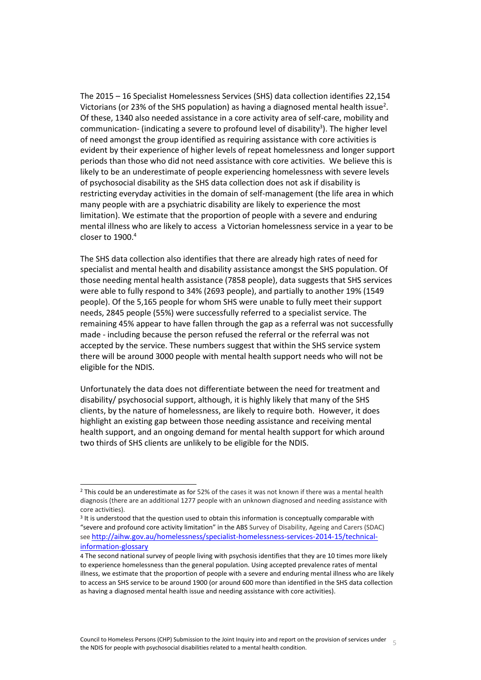The 2015 – 16 Specialist Homelessness Services (SHS) data collection identifies 22,154 Victorians (or 23% of the SHS population) as having a diagnosed mental health issue<sup>2</sup>. Of these, 1340 also needed assistance in a core activity area of self-care, mobility and communication- (indicating a severe to profound level of disability<sup>3</sup>). The higher level of need amongst the group identified as requiring assistance with core activities is evident by their experience of higher levels of repeat homelessness and longer support periods than those who did not need assistance with core activities. We believe this is likely to be an underestimate of people experiencing homelessness with severe levels of psychosocial disability as the SHS data collection does not ask if disability is restricting everyday activities in the domain of self-management (the life area in which many people with are a psychiatric disability are likely to experience the most limitation). We estimate that the proportion of people with a severe and enduring mental illness who are likely to access a Victorian homelessness service in a year to be closer to  $1900<sup>4</sup>$ 

The SHS data collection also identifies that there are already high rates of need for specialist and mental health and disability assistance amongst the SHS population. Of those needing mental health assistance (7858 people), data suggests that SHS services were able to fully respond to 34% (2693 people), and partially to another 19% (1549 people). Of the 5,165 people for whom SHS were unable to fully meet their support needs, 2845 people (55%) were successfully referred to a specialist service. The remaining 45% appear to have fallen through the gap as a referral was not successfully made - including because the person refused the referral or the referral was not accepted by the service. These numbers suggest that within the SHS service system there will be around 3000 people with mental health support needs who will not be eligible for the NDIS.

Unfortunately the data does not differentiate between the need for treatment and disability/ psychosocial support, although, it is highly likely that many of the SHS clients, by the nature of homelessness, are likely to require both. However, it does highlight an existing gap between those needing assistance and receiving mental health support, and an ongoing demand for mental health support for which around two thirds of SHS clients are unlikely to be eligible for the NDIS.

 $\overline{a}$ 

<sup>2</sup> This could be an underestimate as for 52% of the cases it was not known if there was a mental health diagnosis (there are an additional 1277 people with an unknown diagnosed and needing assistance with core activities).

<sup>&</sup>lt;sup>3</sup> It is understood that the question used to obtain this information is conceptually comparable with "severe and profound core activity limitation" in the ABS Survey of Disability, Ageing and Carers (SDAC) see [http://aihw.gov.au/homelessness/specialist-homelessness-services-2014-15/technical](http://aihw.gov.au/homelessness/specialist-homelessness-services-2014-15/technical-information-glossary)[information-glossary](http://aihw.gov.au/homelessness/specialist-homelessness-services-2014-15/technical-information-glossary)

<sup>4</sup> The second national survey of people living with psychosis identifies that they are 10 times more likely to experience homelessness than the general population. Using accepted prevalence rates of mental illness, we estimate that the proportion of people with a severe and enduring mental illness who are likely to access an SHS service to be around 1900 (or around 600 more than identified in the SHS data collection as having a diagnosed mental health issue and needing assistance with core activities).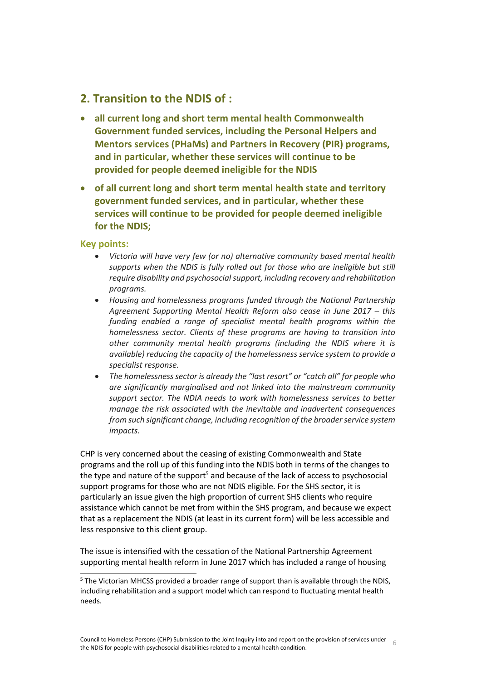### <span id="page-5-0"></span>**2. Transition to the NDIS of :**

- <span id="page-5-1"></span> **all current long and short term mental health Commonwealth Government funded services, including the Personal Helpers and Mentors services (PHaMs) and Partners in Recovery (PIR) programs, and in particular, whether these services will continue to be provided for people deemed ineligible for the NDIS**
- <span id="page-5-2"></span> **of all current long and short term mental health state and territory government funded services, and in particular, whether these services will continue to be provided for people deemed ineligible for the NDIS;**

#### **Key points:**

 $\overline{a}$ 

- *Victoria will have very few (or no) alternative community based mental health supports when the NDIS is fully rolled out for those who are ineligible but still require disability and psychosocial support, including recovery and rehabilitation programs.*
- *Housing and homelessness programs funded through the National Partnership Agreement Supporting Mental Health Reform also cease in June 2017 – this funding enabled a range of specialist mental health programs within the homelessness sector. Clients of these programs are having to transition into other community mental health programs (including the NDIS where it is available) reducing the capacity of the homelessness service system to provide a specialist response.*
- *The homelessness sector is already the "last resort" or "catch all" for people who are significantly marginalised and not linked into the mainstream community support sector. The NDIA needs to work with homelessness services to better manage the risk associated with the inevitable and inadvertent consequences from such significant change, including recognition of the broader service system impacts.*

CHP is very concerned about the ceasing of existing Commonwealth and State programs and the roll up of this funding into the NDIS both in terms of the changes to the type and nature of the support<sup>5</sup> and because of the lack of access to psychosocial support programs for those who are not NDIS eligible. For the SHS sector, it is particularly an issue given the high proportion of current SHS clients who require assistance which cannot be met from within the SHS program, and because we expect that as a replacement the NDIS (at least in its current form) will be less accessible and less responsive to this client group.

The issue is intensified with the cessation of the National Partnership Agreement supporting mental health reform in June 2017 which has included a range of housing

<sup>&</sup>lt;sup>5</sup> The Victorian MHCSS provided a broader range of support than is available through the NDIS, including rehabilitation and a support model which can respond to fluctuating mental health needs.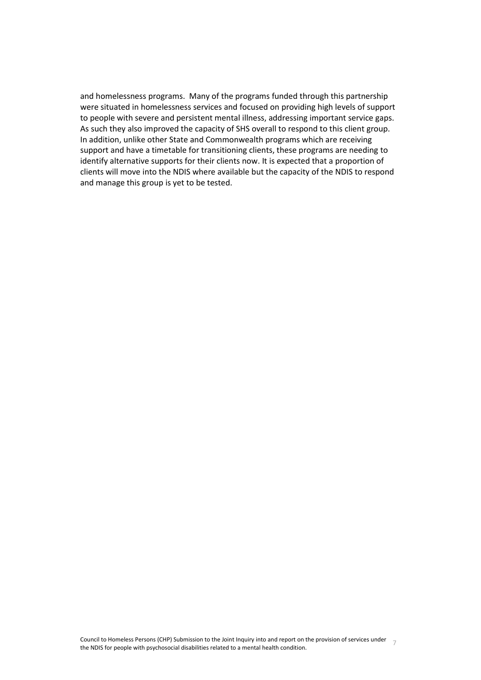and homelessness programs. Many of the programs funded through this partnership were situated in homelessness services and focused on providing high levels of support to people with severe and persistent mental illness, addressing important service gaps. As such they also improved the capacity of SHS overall to respond to this client group. In addition, unlike other State and Commonwealth programs which are receiving support and have a timetable for transitioning clients, these programs are needing to identify alternative supports for their clients now. It is expected that a proportion of clients will move into the NDIS where available but the capacity of the NDIS to respond and manage this group is yet to be tested.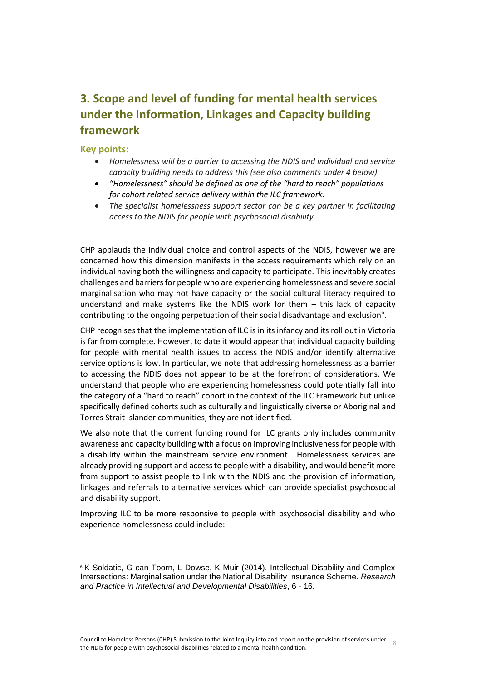## <span id="page-7-0"></span>**3. Scope and level of funding for mental health services under the Information, Linkages and Capacity building framework**

#### **Key points:**

 $\overline{a}$ 

- *Homelessness will be a barrier to accessing the NDIS and individual and service capacity building needs to address this (see also comments under 4 below).*
- *"Homelessness" should be defined as one of the "hard to reach" populations for cohort related service delivery within the ILC framework.*
- *The specialist homelessness support sector can be a key partner in facilitating access to the NDIS for people with psychosocial disability.*

CHP applauds the individual choice and control aspects of the NDIS, however we are concerned how this dimension manifests in the access requirements which rely on an individual having both the willingness and capacity to participate. This inevitably creates challenges and barriers for people who are experiencing homelessness and severe social marginalisation who may not have capacity or the social cultural literacy required to understand and make systems like the NDIS work for them – this lack of capacity contributing to the ongoing perpetuation of their social disadvantage and exclusion<sup>6</sup>.

CHP recognises that the implementation of ILC is in its infancy and its roll out in Victoria is far from complete. However, to date it would appear that individual capacity building for people with mental health issues to access the NDIS and/or identify alternative service options is low. In particular, we note that addressing homelessness as a barrier to accessing the NDIS does not appear to be at the forefront of considerations. We understand that people who are experiencing homelessness could potentially fall into the category of a "hard to reach" cohort in the context of the ILC Framework but unlike specifically defined cohorts such as culturally and linguistically diverse or Aboriginal and Torres Strait Islander communities, they are not identified.

We also note that the current funding round for ILC grants only includes community awareness and capacity building with a focus on improving inclusiveness for people with a disability within the mainstream service environment. Homelessness services are already providing support and access to people with a disability, and would benefit more from support to assist people to link with the NDIS and the provision of information, linkages and referrals to alternative services which can provide specialist psychosocial and disability support.

Improving ILC to be more responsive to people with psychosocial disability and who experience homelessness could include:

<sup>&</sup>lt;sup>6</sup> K Soldatic, G can Toorn, L Dowse, K Muir (2014). Intellectual Disability and Complex Intersections: Marginalisation under the National Disability Insurance Scheme. *Research and Practice in Intellectual and Developmental Disabilities*, 6 - 16.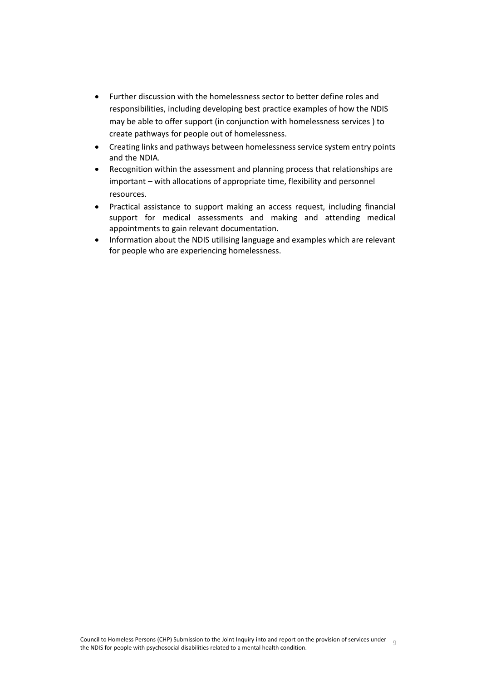- Further discussion with the homelessness sector to better define roles and responsibilities, including developing best practice examples of how the NDIS may be able to offer support (in conjunction with homelessness services ) to create pathways for people out of homelessness.
- Creating links and pathways between homelessness service system entry points and the NDIA.
- Recognition within the assessment and planning process that relationships are important – with allocations of appropriate time, flexibility and personnel resources.
- Practical assistance to support making an access request, including financial support for medical assessments and making and attending medical appointments to gain relevant documentation.
- Information about the NDIS utilising language and examples which are relevant for people who are experiencing homelessness.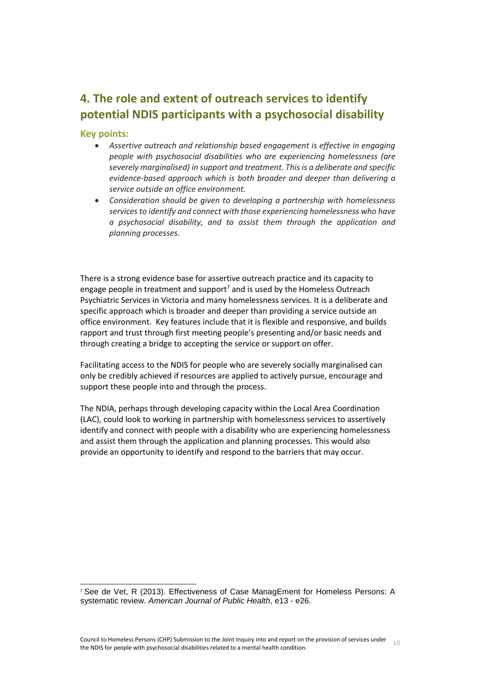# <span id="page-9-0"></span>**4. The role and extent of outreach services to identify potential NDIS participants with a psychosocial disability**

#### **Key points:**

 $\overline{a}$ 

- *Assertive outreach and relationship based engagement is effective in engaging people with psychosocial disabilities who are experiencing homelessness (are severely marginalised) in support and treatment. This is a deliberate and specific evidence-based approach which is both broader and deeper than delivering a service outside an office environment.*
- *Consideration should be given to developing a partnership with homelessness services to identify and connect with those experiencing homelessness who have a psychosocial disability, and to assist them through the application and planning processes.*

There is a strong evidence base for assertive outreach practice and its capacity to engage people in treatment and support<sup>7</sup> and is used by the Homeless Outreach Psychiatric Services in Victoria and many homelessness services. It is a deliberate and specific approach which is broader and deeper than providing a service outside an office environment. Key features include that it is flexible and responsive, and builds rapport and trust through first meeting people's presenting and/or basic needs and through creating a bridge to accepting the service or support on offer.

Facilitating access to the NDIS for people who are severely socially marginalised can only be credibly achieved if resources are applied to actively pursue, encourage and support these people into and through the process.

The NDIA, perhaps through developing capacity within the Local Area Coordination (LAC), could look to working in partnership with homelessness services to assertively identify and connect with people with a disability who are experiencing homelessness and assist them through the application and planning processes. This would also provide an opportunity to identify and respond to the barriers that may occur.

<sup>7</sup> See de Vet, R (2013). Effectiveness of Case ManagEment for Homeless Persons: A systematic review. *American Journal of Public Health*, e13 - e26.